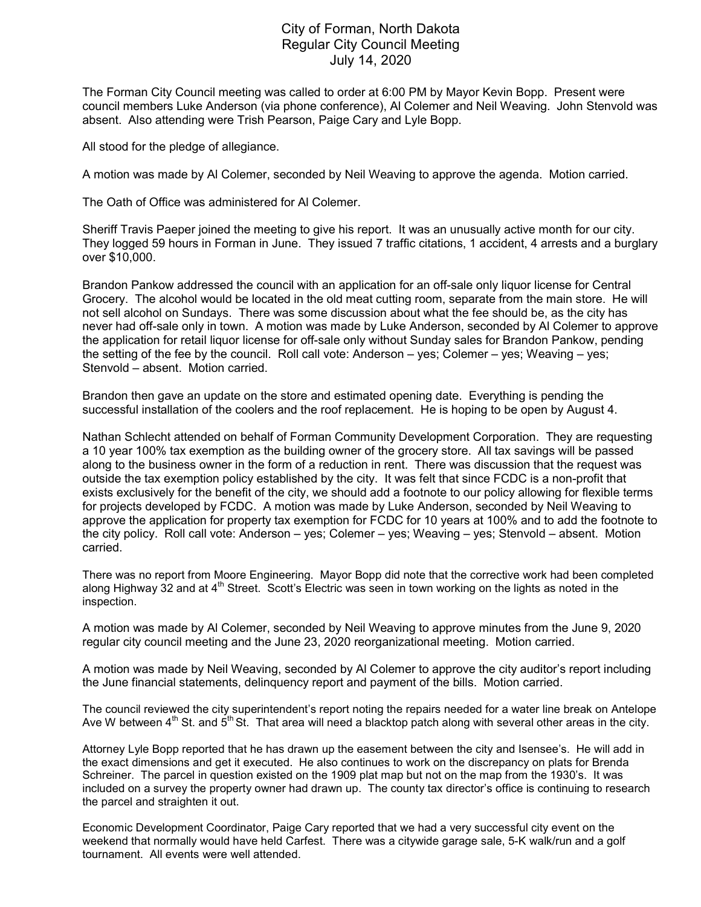## City of Forman, North Dakota Regular City Council Meeting July 14, 2020

The Forman City Council meeting was called to order at 6:00 PM by Mayor Kevin Bopp. Present were council members Luke Anderson (via phone conference), Al Colemer and Neil Weaving. John Stenvold was absent. Also attending were Trish Pearson, Paige Cary and Lyle Bopp.

All stood for the pledge of allegiance.

A motion was made by Al Colemer, seconded by Neil Weaving to approve the agenda. Motion carried.

The Oath of Office was administered for Al Colemer.

Sheriff Travis Paeper joined the meeting to give his report. It was an unusually active month for our city. They logged 59 hours in Forman in June. They issued 7 traffic citations, 1 accident, 4 arrests and a burglary over \$10,000.

Brandon Pankow addressed the council with an application for an off-sale only liquor license for Central Grocery. The alcohol would be located in the old meat cutting room, separate from the main store. He will not sell alcohol on Sundays. There was some discussion about what the fee should be, as the city has never had off-sale only in town. A motion was made by Luke Anderson, seconded by Al Colemer to approve the application for retail liquor license for off-sale only without Sunday sales for Brandon Pankow, pending the setting of the fee by the council. Roll call vote: Anderson – yes; Colemer – yes; Weaving – yes; Stenvold – absent. Motion carried.

Brandon then gave an update on the store and estimated opening date. Everything is pending the successful installation of the coolers and the roof replacement. He is hoping to be open by August 4.

Nathan Schlecht attended on behalf of Forman Community Development Corporation. They are requesting a 10 year 100% tax exemption as the building owner of the grocery store. All tax savings will be passed along to the business owner in the form of a reduction in rent. There was discussion that the request was outside the tax exemption policy established by the city. It was felt that since FCDC is a non-profit that exists exclusively for the benefit of the city, we should add a footnote to our policy allowing for flexible terms for projects developed by FCDC. A motion was made by Luke Anderson, seconded by Neil Weaving to approve the application for property tax exemption for FCDC for 10 years at 100% and to add the footnote to the city policy. Roll call vote: Anderson – yes; Colemer – yes; Weaving – yes; Stenvold – absent. Motion carried.

There was no report from Moore Engineering. Mayor Bopp did note that the corrective work had been completed along Highway 32 and at 4<sup>th</sup> Street. Scott's Electric was seen in town working on the lights as noted in the inspection.

A motion was made by Al Colemer, seconded by Neil Weaving to approve minutes from the June 9, 2020 regular city council meeting and the June 23, 2020 reorganizational meeting. Motion carried.

A motion was made by Neil Weaving, seconded by Al Colemer to approve the city auditor's report including the June financial statements, delinquency report and payment of the bills. Motion carried.

The council reviewed the city superintendent's report noting the repairs needed for a water line break on Antelope Ave W between  $4<sup>th</sup>$  St. and  $5<sup>th</sup>$  St. That area will need a blacktop patch along with several other areas in the city.

Attorney Lyle Bopp reported that he has drawn up the easement between the city and Isensee's. He will add in the exact dimensions and get it executed. He also continues to work on the discrepancy on plats for Brenda Schreiner. The parcel in question existed on the 1909 plat map but not on the map from the 1930's. It was included on a survey the property owner had drawn up. The county tax director's office is continuing to research the parcel and straighten it out.

Economic Development Coordinator, Paige Cary reported that we had a very successful city event on the weekend that normally would have held Carfest. There was a citywide garage sale, 5-K walk/run and a golf tournament. All events were well attended.